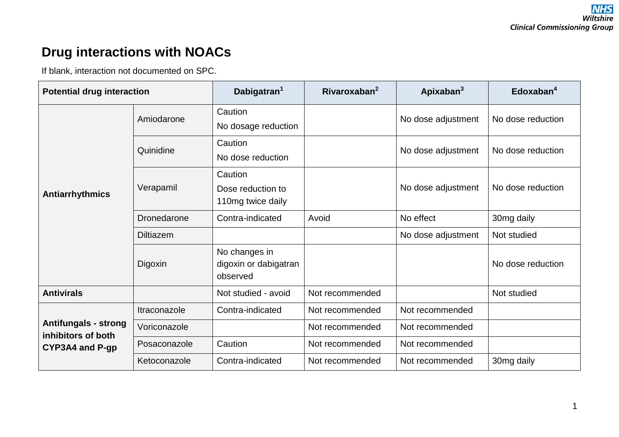## **Drug interactions with NOACs**

If blank, interaction not documented on SPC.

| <b>Potential drug interaction</b>                                    |                  | Dabigatran <sup>1</sup>                            | Rivaroxaban $2$ | Apixaban $3$       | Edoxaban <sup>4</sup> |
|----------------------------------------------------------------------|------------------|----------------------------------------------------|-----------------|--------------------|-----------------------|
| <b>Antiarrhythmics</b>                                               | Amiodarone       | Caution<br>No dosage reduction                     |                 | No dose adjustment | No dose reduction     |
|                                                                      | Quinidine        | Caution<br>No dose reduction                       |                 | No dose adjustment | No dose reduction     |
|                                                                      | Verapamil        | Caution<br>Dose reduction to<br>110mg twice daily  |                 | No dose adjustment | No dose reduction     |
|                                                                      | Dronedarone      | Contra-indicated                                   | Avoid           | No effect          | 30mg daily            |
|                                                                      | <b>Diltiazem</b> |                                                    |                 | No dose adjustment | Not studied           |
|                                                                      | Digoxin          | No changes in<br>digoxin or dabigatran<br>observed |                 |                    | No dose reduction     |
| <b>Antivirals</b>                                                    |                  | Not studied - avoid                                | Not recommended |                    | Not studied           |
| <b>Antifungals - strong</b><br>inhibitors of both<br>CYP3A4 and P-gp | Itraconazole     | Contra-indicated                                   | Not recommended | Not recommended    |                       |
|                                                                      | Voriconazole     |                                                    | Not recommended | Not recommended    |                       |
|                                                                      | Posaconazole     | Caution                                            | Not recommended | Not recommended    |                       |
|                                                                      | Ketoconazole     | Contra-indicated                                   | Not recommended | Not recommended    | 30mg daily            |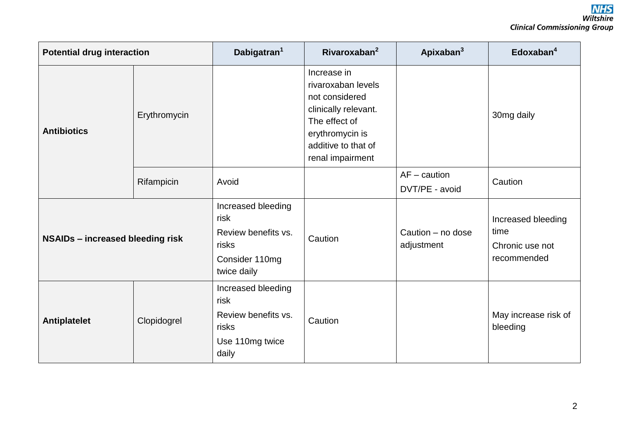| <b>Potential drug interaction</b> |              | Dabigatran <sup>1</sup>                                                                     | Rivaroxaban $2$                                                                                                                                            | Apixaban <sup>3</sup>            | Edoxaban <sup>4</sup>                                        |
|-----------------------------------|--------------|---------------------------------------------------------------------------------------------|------------------------------------------------------------------------------------------------------------------------------------------------------------|----------------------------------|--------------------------------------------------------------|
| <b>Antibiotics</b>                | Erythromycin |                                                                                             | Increase in<br>rivaroxaban levels<br>not considered<br>clinically relevant.<br>The effect of<br>erythromycin is<br>additive to that of<br>renal impairment |                                  | 30mg daily                                                   |
|                                   | Rifampicin   | Avoid                                                                                       |                                                                                                                                                            | $AF -$ caution<br>DVT/PE - avoid | Caution                                                      |
| NSAIDs - increased bleeding risk  |              | Increased bleeding<br>risk<br>Review benefits vs.<br>risks<br>Consider 110mg<br>twice daily | Caution                                                                                                                                                    | Caution - no dose<br>adjustment  | Increased bleeding<br>time<br>Chronic use not<br>recommended |
| <b>Antiplatelet</b>               | Clopidogrel  | Increased bleeding<br>risk<br>Review benefits vs.<br>risks<br>Use 110mg twice<br>daily      | Caution                                                                                                                                                    |                                  | May increase risk of<br>bleeding                             |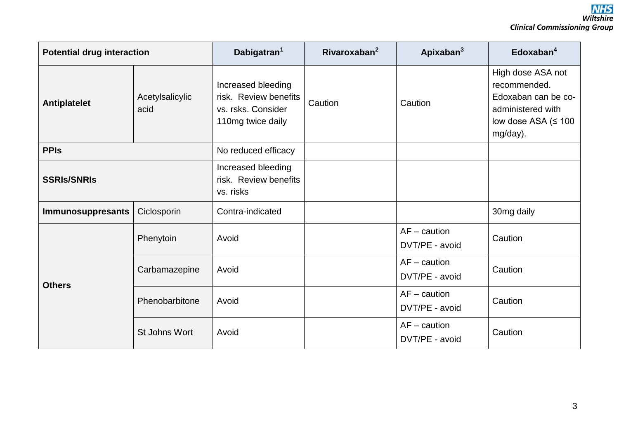| <b>Potential drug interaction</b> |                         | Dabigatran <sup>1</sup>                                                                | Rivaroxaban $2$ | Apixaban <sup>3</sup>            | Edoxaban $4$                                                                                                           |
|-----------------------------------|-------------------------|----------------------------------------------------------------------------------------|-----------------|----------------------------------|------------------------------------------------------------------------------------------------------------------------|
| <b>Antiplatelet</b>               | Acetylsalicylic<br>acid | Increased bleeding<br>risk. Review benefits<br>vs. rsks. Consider<br>110mg twice daily | Caution         | Caution                          | High dose ASA not<br>recommended.<br>Edoxaban can be co-<br>administered with<br>low dose ASA ( $\leq 100$<br>mg/day). |
| <b>PPIS</b>                       |                         | No reduced efficacy                                                                    |                 |                                  |                                                                                                                        |
| <b>SSRIS/SNRIS</b>                |                         | Increased bleeding<br>risk. Review benefits<br>vs. risks                               |                 |                                  |                                                                                                                        |
| Immunosuppresants                 | Ciclosporin             | Contra-indicated                                                                       |                 |                                  | 30mg daily                                                                                                             |
| <b>Others</b>                     | Phenytoin               | Avoid                                                                                  |                 | $AF -$ caution<br>DVT/PE - avoid | Caution                                                                                                                |
|                                   | Carbamazepine           | Avoid                                                                                  |                 | $AF -$ caution<br>DVT/PE - avoid | Caution                                                                                                                |
|                                   | Phenobarbitone          | Avoid                                                                                  |                 | $AF -$ caution<br>DVT/PE - avoid | Caution                                                                                                                |
|                                   | St Johns Wort           | Avoid                                                                                  |                 | $AF -$ caution<br>DVT/PE - avoid | Caution                                                                                                                |